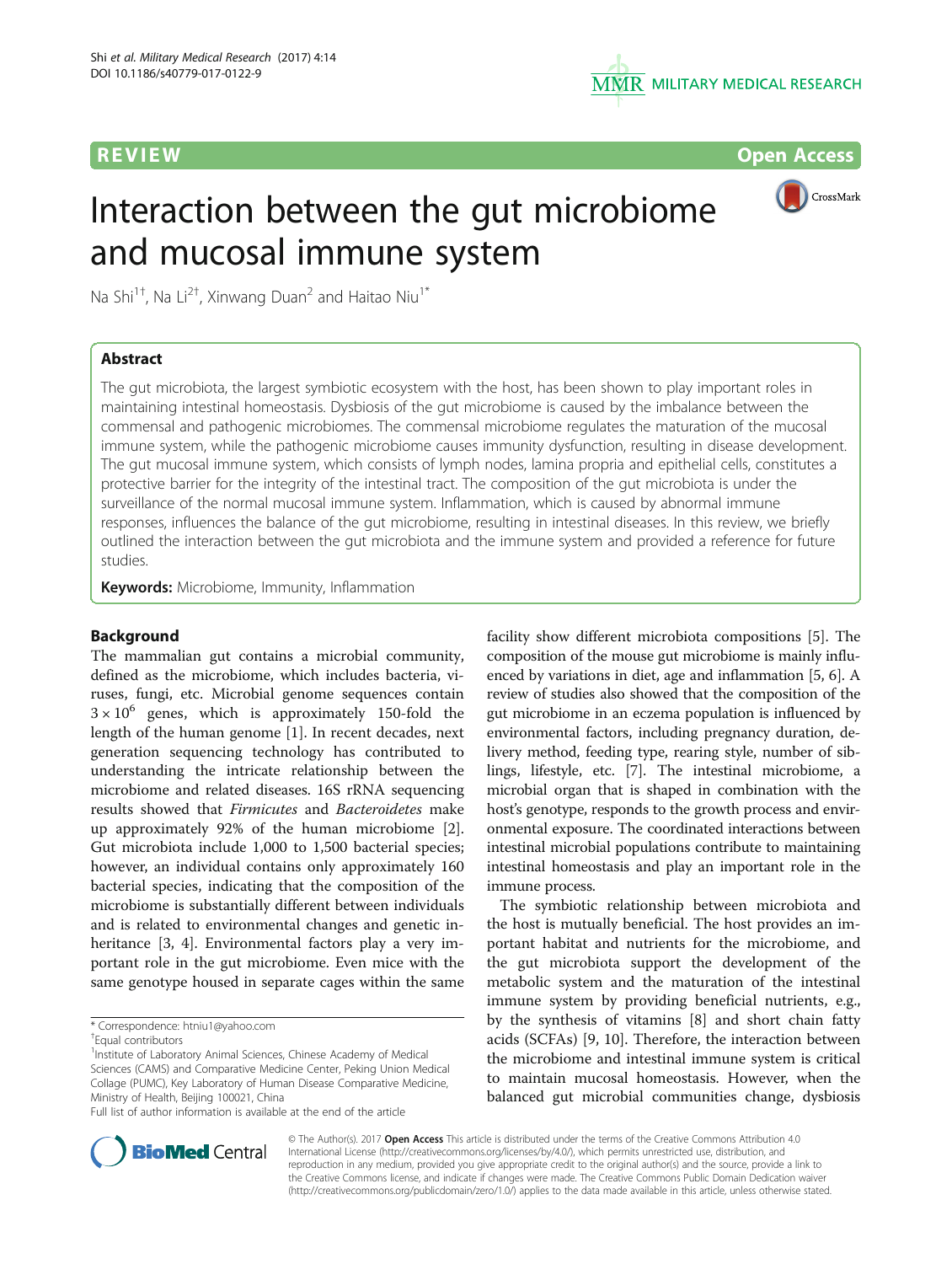

**REVIEW CONSTRUCTION CONSTRUCTION CONSTRUCTS** 

# Interaction between the gut microbiome and mucosal immune system



Na Shi<sup>1†</sup>, Na Li<sup>2†</sup>, Xinwang Duan<sup>2</sup> and Haitao Niu<sup>1\*</sup>

# Abstract

The gut microbiota, the largest symbiotic ecosystem with the host, has been shown to play important roles in maintaining intestinal homeostasis. Dysbiosis of the gut microbiome is caused by the imbalance between the commensal and pathogenic microbiomes. The commensal microbiome regulates the maturation of the mucosal immune system, while the pathogenic microbiome causes immunity dysfunction, resulting in disease development. The gut mucosal immune system, which consists of lymph nodes, lamina propria and epithelial cells, constitutes a protective barrier for the integrity of the intestinal tract. The composition of the gut microbiota is under the surveillance of the normal mucosal immune system. Inflammation, which is caused by abnormal immune responses, influences the balance of the gut microbiome, resulting in intestinal diseases. In this review, we briefly outlined the interaction between the gut microbiota and the immune system and provided a reference for future studies.

**Keywords:** Microbiome, Immunity, Inflammation

# Background

The mammalian gut contains a microbial community, defined as the microbiome, which includes bacteria, viruses, fungi, etc. Microbial genome sequences contain  $3 \times 10^6$  genes, which is approximately 150-fold the length of the human genome [\[1\]](#page-4-0). In recent decades, next generation sequencing technology has contributed to understanding the intricate relationship between the microbiome and related diseases. 16S rRNA sequencing results showed that Firmicutes and Bacteroidetes make up approximately 92% of the human microbiome [\[2](#page-4-0)]. Gut microbiota include 1,000 to 1,500 bacterial species; however, an individual contains only approximately 160 bacterial species, indicating that the composition of the microbiome is substantially different between individuals and is related to environmental changes and genetic in-heritance [\[3, 4](#page-4-0)]. Environmental factors play a very important role in the gut microbiome. Even mice with the same genotype housed in separate cages within the same

<sup>1</sup> Institute of Laboratory Animal Sciences, Chinese Academy of Medical Sciences (CAMS) and Comparative Medicine Center, Peking Union Medical Collage (PUMC), Key Laboratory of Human Disease Comparative Medicine, Ministry of Health, Beijing 100021, China

Full list of author information is available at the end of the article

facility show different microbiota compositions [\[5](#page-4-0)]. The composition of the mouse gut microbiome is mainly influenced by variations in diet, age and inflammation [\[5, 6\]](#page-4-0). A review of studies also showed that the composition of the gut microbiome in an eczema population is influenced by environmental factors, including pregnancy duration, delivery method, feeding type, rearing style, number of siblings, lifestyle, etc. [\[7](#page-4-0)]. The intestinal microbiome, a microbial organ that is shaped in combination with the host's genotype, responds to the growth process and environmental exposure. The coordinated interactions between intestinal microbial populations contribute to maintaining intestinal homeostasis and play an important role in the immune process.

The symbiotic relationship between microbiota and the host is mutually beneficial. The host provides an important habitat and nutrients for the microbiome, and the gut microbiota support the development of the metabolic system and the maturation of the intestinal immune system by providing beneficial nutrients, e.g., by the synthesis of vitamins [\[8](#page-4-0)] and short chain fatty acids (SCFAs) [[9, 10\]](#page-4-0). Therefore, the interaction between the microbiome and intestinal immune system is critical to maintain mucosal homeostasis. However, when the balanced gut microbial communities change, dysbiosis



© The Author(s). 2017 **Open Access** This article is distributed under the terms of the Creative Commons Attribution 4.0 International License [\(http://creativecommons.org/licenses/by/4.0/](http://creativecommons.org/licenses/by/4.0/)), which permits unrestricted use, distribution, and reproduction in any medium, provided you give appropriate credit to the original author(s) and the source, provide a link to the Creative Commons license, and indicate if changes were made. The Creative Commons Public Domain Dedication waiver [\(http://creativecommons.org/publicdomain/zero/1.0/](http://creativecommons.org/publicdomain/zero/1.0/)) applies to the data made available in this article, unless otherwise stated.

<sup>\*</sup> Correspondence: [htniu1@yahoo.com](mailto:htniu1@yahoo.com) †

Equal contributors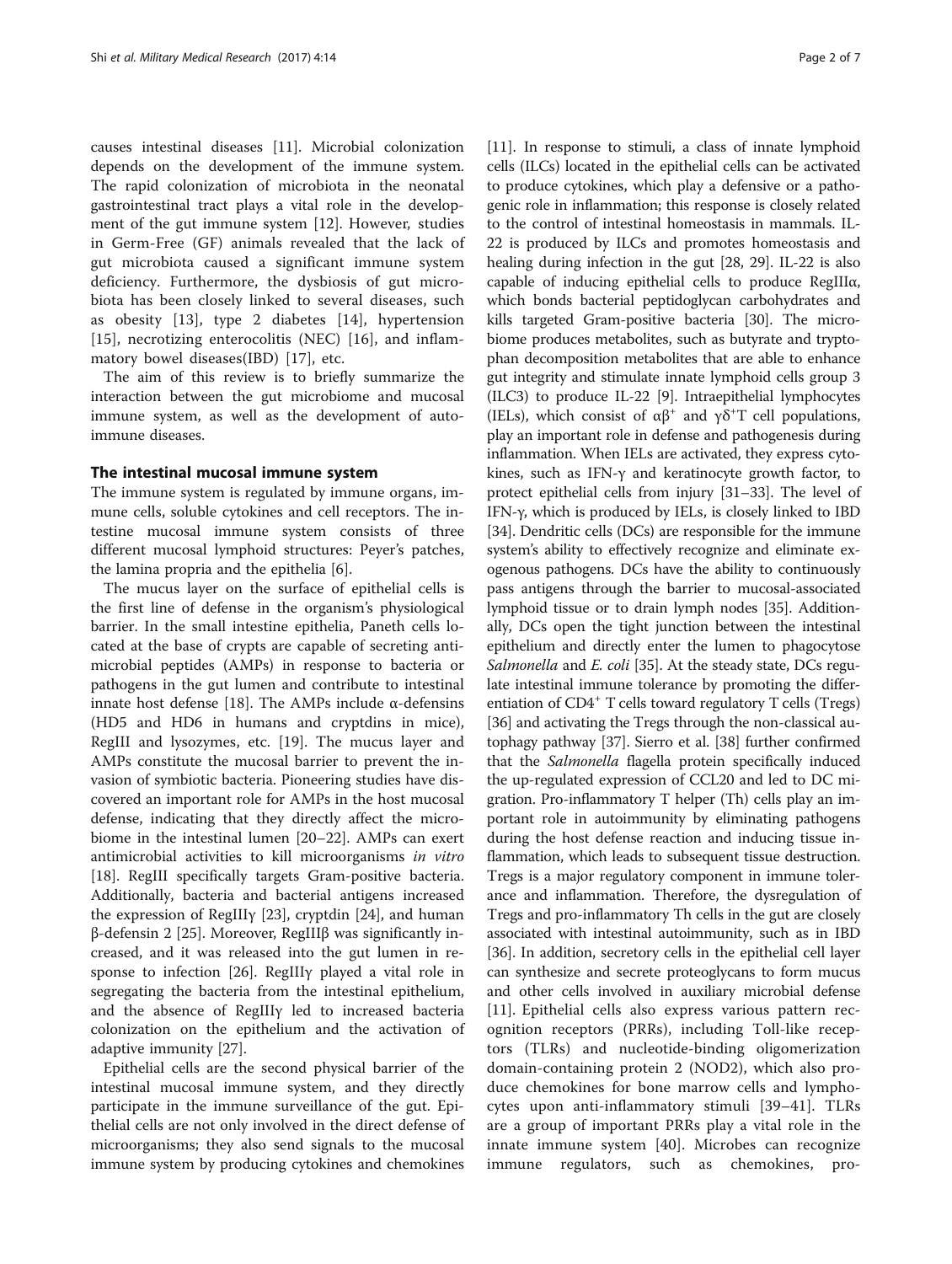causes intestinal diseases [[11\]](#page-4-0). Microbial colonization depends on the development of the immune system. The rapid colonization of microbiota in the neonatal gastrointestinal tract plays a vital role in the development of the gut immune system [\[12](#page-4-0)]. However, studies in Germ-Free (GF) animals revealed that the lack of gut microbiota caused a significant immune system deficiency. Furthermore, the dysbiosis of gut microbiota has been closely linked to several diseases, such as obesity [\[13](#page-4-0)], type 2 diabetes [\[14](#page-4-0)], hypertension [[15\]](#page-4-0), necrotizing enterocolitis (NEC) [[16\]](#page-4-0), and inflammatory bowel diseases(IBD) [[17\]](#page-5-0), etc.

The aim of this review is to briefly summarize the interaction between the gut microbiome and mucosal immune system, as well as the development of autoimmune diseases.

# The intestinal mucosal immune system

The immune system is regulated by immune organs, immune cells, soluble cytokines and cell receptors. The intestine mucosal immune system consists of three different mucosal lymphoid structures: Peyer's patches, the lamina propria and the epithelia [\[6](#page-4-0)].

The mucus layer on the surface of epithelial cells is the first line of defense in the organism's physiological barrier. In the small intestine epithelia, Paneth cells located at the base of crypts are capable of secreting antimicrobial peptides (AMPs) in response to bacteria or pathogens in the gut lumen and contribute to intestinal innate host defense [\[18](#page-5-0)]. The AMPs include α-defensins (HD5 and HD6 in humans and cryptdins in mice), RegIII and lysozymes, etc. [[19](#page-5-0)]. The mucus layer and AMPs constitute the mucosal barrier to prevent the invasion of symbiotic bacteria. Pioneering studies have discovered an important role for AMPs in the host mucosal defense, indicating that they directly affect the microbiome in the intestinal lumen [\[20](#page-5-0)–[22\]](#page-5-0). AMPs can exert antimicrobial activities to kill microorganisms in vitro [[18\]](#page-5-0). RegIII specifically targets Gram-positive bacteria. Additionally, bacteria and bacterial antigens increased the expression of RegIIIγ [[23](#page-5-0)], cryptdin [\[24](#page-5-0)], and human β-defensin 2 [\[25](#page-5-0)]. Moreover, RegIIIβ was significantly increased, and it was released into the gut lumen in response to infection [[26\]](#page-5-0). RegIIIγ played a vital role in segregating the bacteria from the intestinal epithelium, and the absence of RegIIIγ led to increased bacteria colonization on the epithelium and the activation of adaptive immunity [\[27](#page-5-0)].

Epithelial cells are the second physical barrier of the intestinal mucosal immune system, and they directly participate in the immune surveillance of the gut. Epithelial cells are not only involved in the direct defense of microorganisms; they also send signals to the mucosal immune system by producing cytokines and chemokines

[[11\]](#page-4-0). In response to stimuli, a class of innate lymphoid cells (ILCs) located in the epithelial cells can be activated to produce cytokines, which play a defensive or a pathogenic role in inflammation; this response is closely related to the control of intestinal homeostasis in mammals. IL-22 is produced by ILCs and promotes homeostasis and healing during infection in the gut [[28](#page-5-0), [29\]](#page-5-0). IL-22 is also capable of inducing epithelial cells to produce RegIIIα, which bonds bacterial peptidoglycan carbohydrates and kills targeted Gram-positive bacteria [[30](#page-5-0)]. The microbiome produces metabolites, such as butyrate and tryptophan decomposition metabolites that are able to enhance gut integrity and stimulate innate lymphoid cells group 3 (ILC3) to produce IL-22 [\[9\]](#page-4-0). Intraepithelial lymphocytes (IELs), which consist of  $\alpha\beta^+$  and  $\gamma\delta^+T$  cell populations, play an important role in defense and pathogenesis during inflammation. When IELs are activated, they express cytokines, such as IFN-γ and keratinocyte growth factor, to protect epithelial cells from injury [[31](#page-5-0)–[33\]](#page-5-0). The level of IFN-γ, which is produced by IELs, is closely linked to IBD [[34](#page-5-0)]. Dendritic cells (DCs) are responsible for the immune system's ability to effectively recognize and eliminate exogenous pathogens. DCs have the ability to continuously pass antigens through the barrier to mucosal-associated lymphoid tissue or to drain lymph nodes [\[35\]](#page-5-0). Additionally, DCs open the tight junction between the intestinal epithelium and directly enter the lumen to phagocytose Salmonella and E. coli [[35](#page-5-0)]. At the steady state, DCs regulate intestinal immune tolerance by promoting the differentiation of  $CD4^+$  T cells toward regulatory T cells (Tregs) [[36](#page-5-0)] and activating the Tregs through the non-classical autophagy pathway [\[37\]](#page-5-0). Sierro et al. [\[38](#page-5-0)] further confirmed that the Salmonella flagella protein specifically induced the up-regulated expression of CCL20 and led to DC migration. Pro-inflammatory T helper (Th) cells play an important role in autoimmunity by eliminating pathogens during the host defense reaction and inducing tissue inflammation, which leads to subsequent tissue destruction. Tregs is a major regulatory component in immune tolerance and inflammation. Therefore, the dysregulation of Tregs and pro-inflammatory Th cells in the gut are closely associated with intestinal autoimmunity, such as in IBD [[36](#page-5-0)]. In addition, secretory cells in the epithelial cell layer can synthesize and secrete proteoglycans to form mucus and other cells involved in auxiliary microbial defense [[11](#page-4-0)]. Epithelial cells also express various pattern recognition receptors (PRRs), including Toll-like receptors (TLRs) and nucleotide-binding oligomerization domain-containing protein 2 (NOD2), which also produce chemokines for bone marrow cells and lymphocytes upon anti-inflammatory stimuli [[39](#page-5-0)–[41\]](#page-5-0). TLRs are a group of important PRRs play a vital role in the innate immune system [\[40](#page-5-0)]. Microbes can recognize immune regulators, such as chemokines, pro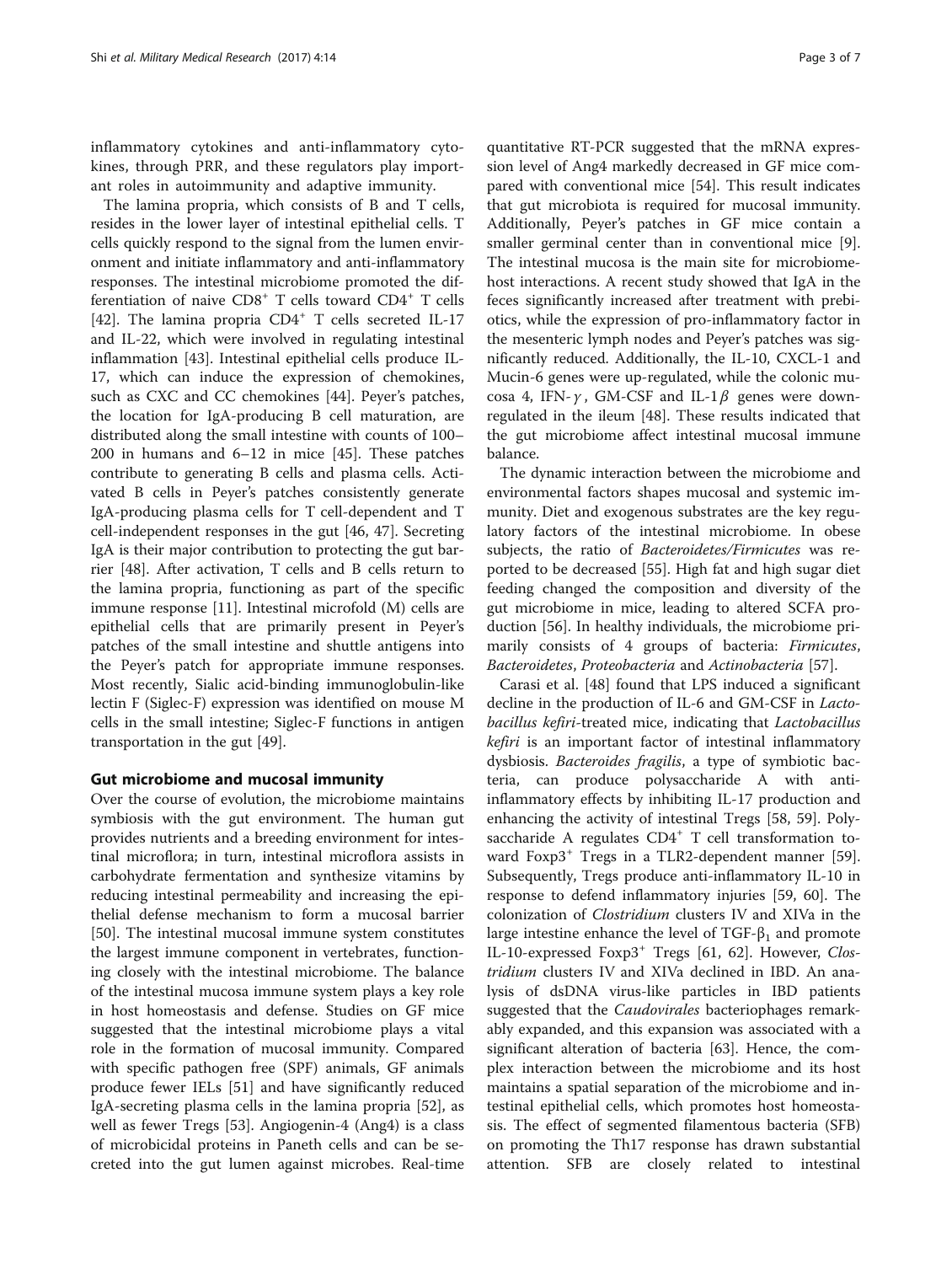inflammatory cytokines and anti-inflammatory cytokines, through PRR, and these regulators play important roles in autoimmunity and adaptive immunity.

The lamina propria, which consists of B and T cells, resides in the lower layer of intestinal epithelial cells. T cells quickly respond to the signal from the lumen environment and initiate inflammatory and anti-inflammatory responses. The intestinal microbiome promoted the differentiation of naive CD8<sup>+</sup> T cells toward CD4<sup>+</sup> T cells [[42\]](#page-5-0). The lamina propria CD4<sup>+</sup> T cells secreted IL-17 and IL-22, which were involved in regulating intestinal inflammation [\[43](#page-5-0)]. Intestinal epithelial cells produce IL-17, which can induce the expression of chemokines, such as CXC and CC chemokines [[44\]](#page-5-0). Peyer's patches, the location for IgA-producing B cell maturation, are distributed along the small intestine with counts of 100– 200 in humans and 6–12 in mice [[45\]](#page-5-0). These patches contribute to generating B cells and plasma cells. Activated B cells in Peyer's patches consistently generate IgA-producing plasma cells for T cell-dependent and T cell-independent responses in the gut [[46, 47\]](#page-5-0). Secreting IgA is their major contribution to protecting the gut barrier [\[48](#page-5-0)]. After activation, T cells and B cells return to the lamina propria, functioning as part of the specific immune response [\[11\]](#page-4-0). Intestinal microfold (M) cells are epithelial cells that are primarily present in Peyer's patches of the small intestine and shuttle antigens into the Peyer's patch for appropriate immune responses. Most recently, Sialic acid-binding immunoglobulin-like lectin F (Siglec-F) expression was identified on mouse M cells in the small intestine; Siglec-F functions in antigen transportation in the gut [[49\]](#page-5-0).

# Gut microbiome and mucosal immunity

Over the course of evolution, the microbiome maintains symbiosis with the gut environment. The human gut provides nutrients and a breeding environment for intestinal microflora; in turn, intestinal microflora assists in carbohydrate fermentation and synthesize vitamins by reducing intestinal permeability and increasing the epithelial defense mechanism to form a mucosal barrier [[50\]](#page-5-0). The intestinal mucosal immune system constitutes the largest immune component in vertebrates, functioning closely with the intestinal microbiome. The balance of the intestinal mucosa immune system plays a key role in host homeostasis and defense. Studies on GF mice suggested that the intestinal microbiome plays a vital role in the formation of mucosal immunity. Compared with specific pathogen free (SPF) animals, GF animals produce fewer IELs [\[51\]](#page-5-0) and have significantly reduced IgA-secreting plasma cells in the lamina propria [[52](#page-5-0)], as well as fewer Tregs [[53\]](#page-5-0). Angiogenin-4 (Ang4) is a class of microbicidal proteins in Paneth cells and can be secreted into the gut lumen against microbes. Real-time

quantitative RT-PCR suggested that the mRNA expression level of Ang4 markedly decreased in GF mice compared with conventional mice [\[54](#page-5-0)]. This result indicates that gut microbiota is required for mucosal immunity. Additionally, Peyer's patches in GF mice contain a smaller germinal center than in conventional mice [\[9](#page-4-0)]. The intestinal mucosa is the main site for microbiomehost interactions. A recent study showed that IgA in the feces significantly increased after treatment with prebiotics, while the expression of pro-inflammatory factor in the mesenteric lymph nodes and Peyer's patches was significantly reduced. Additionally, the IL-10, CXCL-1 and Mucin-6 genes were up-regulated, while the colonic mucosa 4, IFN- $\gamma$ , GM-CSF and IL-1 $\beta$  genes were downregulated in the ileum [\[48](#page-5-0)]. These results indicated that the gut microbiome affect intestinal mucosal immune balance.

The dynamic interaction between the microbiome and environmental factors shapes mucosal and systemic immunity. Diet and exogenous substrates are the key regulatory factors of the intestinal microbiome. In obese subjects, the ratio of Bacteroidetes/Firmicutes was reported to be decreased [[55](#page-5-0)]. High fat and high sugar diet feeding changed the composition and diversity of the gut microbiome in mice, leading to altered SCFA production [\[56](#page-5-0)]. In healthy individuals, the microbiome primarily consists of 4 groups of bacteria: Firmicutes, Bacteroidetes, Proteobacteria and Actinobacteria [\[57\]](#page-5-0).

Carasi et al. [[48\]](#page-5-0) found that LPS induced a significant decline in the production of IL-6 and GM-CSF in Lactobacillus kefiri-treated mice, indicating that Lactobacillus kefiri is an important factor of intestinal inflammatory dysbiosis. Bacteroides fragilis, a type of symbiotic bacteria, can produce polysaccharide A with antiinflammatory effects by inhibiting IL-17 production and enhancing the activity of intestinal Tregs [[58, 59](#page-5-0)]. Polysaccharide A regulates  $CD4^+$  T cell transformation to-ward Foxp3<sup>+</sup> Tregs in a TLR2-dependent manner [\[59](#page-5-0)]. Subsequently, Tregs produce anti-inflammatory IL-10 in response to defend inflammatory injuries [[59](#page-5-0), [60\]](#page-5-0). The colonization of Clostridium clusters IV and XIVa in the large intestine enhance the level of  $TGF-\beta_1$  and promote IL-10-expressed Foxp3<sup>+</sup> Tregs [\[61](#page-5-0), [62\]](#page-5-0). However, Clostridium clusters IV and XIVa declined in IBD. An analysis of dsDNA virus-like particles in IBD patients suggested that the Caudovirales bacteriophages remarkably expanded, and this expansion was associated with a significant alteration of bacteria [\[63\]](#page-5-0). Hence, the complex interaction between the microbiome and its host maintains a spatial separation of the microbiome and intestinal epithelial cells, which promotes host homeostasis. The effect of segmented filamentous bacteria (SFB) on promoting the Th17 response has drawn substantial attention. SFB are closely related to intestinal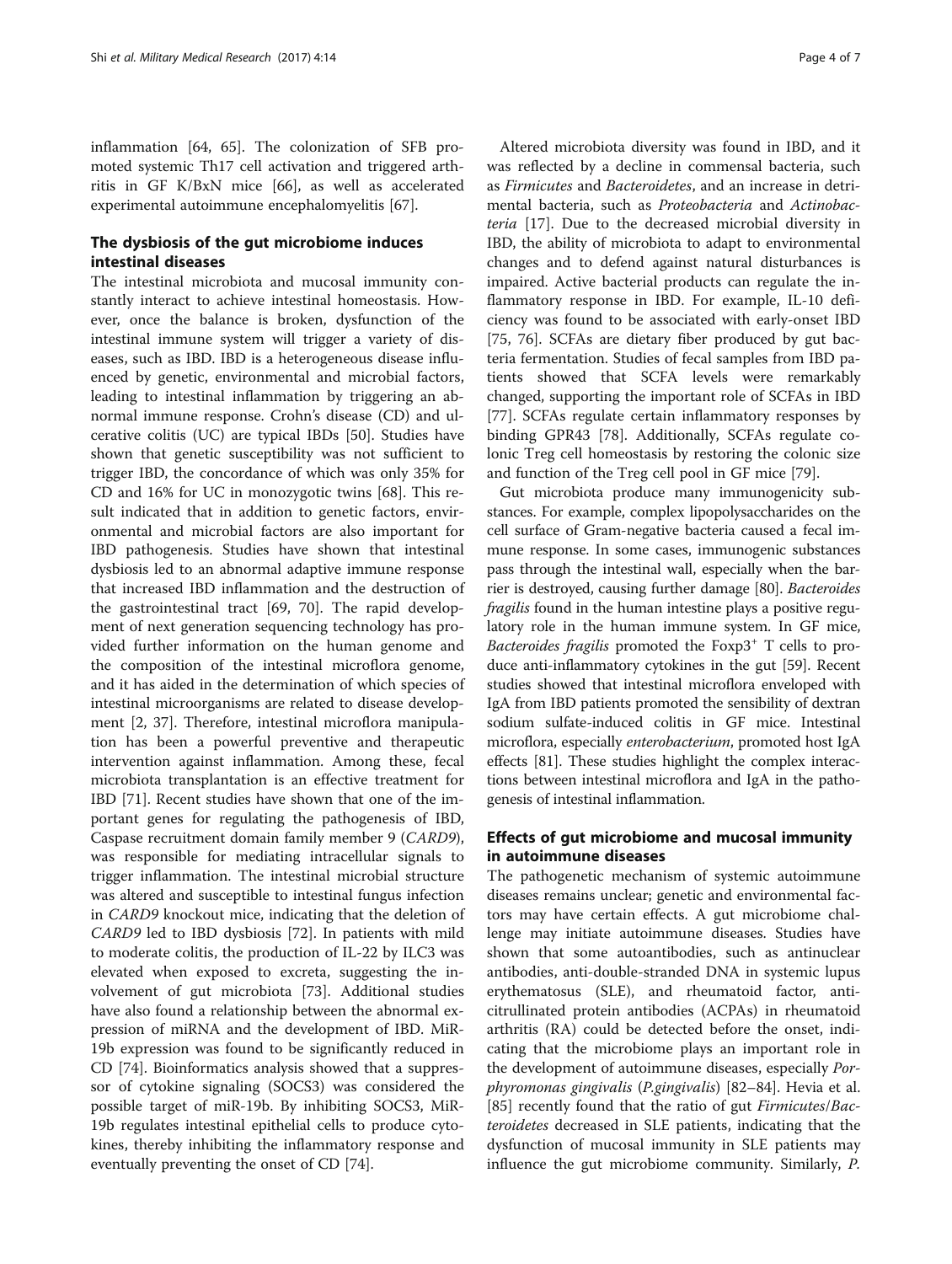inflammation [[64](#page-5-0), [65](#page-5-0)]. The colonization of SFB promoted systemic Th17 cell activation and triggered arthritis in GF K/BxN mice [\[66](#page-6-0)], as well as accelerated experimental autoimmune encephalomyelitis [[67\]](#page-6-0).

# The dysbiosis of the gut microbiome induces intestinal diseases

The intestinal microbiota and mucosal immunity constantly interact to achieve intestinal homeostasis. However, once the balance is broken, dysfunction of the intestinal immune system will trigger a variety of diseases, such as IBD. IBD is a heterogeneous disease influenced by genetic, environmental and microbial factors, leading to intestinal inflammation by triggering an abnormal immune response. Crohn's disease (CD) and ulcerative colitis (UC) are typical IBDs [\[50](#page-5-0)]. Studies have shown that genetic susceptibility was not sufficient to trigger IBD, the concordance of which was only 35% for CD and 16% for UC in monozygotic twins [\[68\]](#page-6-0). This result indicated that in addition to genetic factors, environmental and microbial factors are also important for IBD pathogenesis. Studies have shown that intestinal dysbiosis led to an abnormal adaptive immune response that increased IBD inflammation and the destruction of the gastrointestinal tract [[69, 70\]](#page-6-0). The rapid development of next generation sequencing technology has provided further information on the human genome and the composition of the intestinal microflora genome, and it has aided in the determination of which species of intestinal microorganisms are related to disease development [[2,](#page-4-0) [37\]](#page-5-0). Therefore, intestinal microflora manipulation has been a powerful preventive and therapeutic intervention against inflammation. Among these, fecal microbiota transplantation is an effective treatment for IBD [\[71](#page-6-0)]. Recent studies have shown that one of the important genes for regulating the pathogenesis of IBD, Caspase recruitment domain family member 9 (CARD9), was responsible for mediating intracellular signals to trigger inflammation. The intestinal microbial structure was altered and susceptible to intestinal fungus infection in CARD9 knockout mice, indicating that the deletion of CARD9 led to IBD dysbiosis [\[72\]](#page-6-0). In patients with mild to moderate colitis, the production of IL-22 by ILC3 was elevated when exposed to excreta, suggesting the involvement of gut microbiota [[73\]](#page-6-0). Additional studies have also found a relationship between the abnormal expression of miRNA and the development of IBD. MiR-19b expression was found to be significantly reduced in CD [\[74\]](#page-6-0). Bioinformatics analysis showed that a suppressor of cytokine signaling (SOCS3) was considered the possible target of miR-19b. By inhibiting SOCS3, MiR-19b regulates intestinal epithelial cells to produce cytokines, thereby inhibiting the inflammatory response and eventually preventing the onset of CD [[74\]](#page-6-0).

Altered microbiota diversity was found in IBD, and it was reflected by a decline in commensal bacteria, such as Firmicutes and Bacteroidetes, and an increase in detrimental bacteria, such as Proteobacteria and Actinobacteria [[17](#page-5-0)]. Due to the decreased microbial diversity in IBD, the ability of microbiota to adapt to environmental changes and to defend against natural disturbances is impaired. Active bacterial products can regulate the inflammatory response in IBD. For example, IL-10 deficiency was found to be associated with early-onset IBD [[75, 76\]](#page-6-0). SCFAs are dietary fiber produced by gut bacteria fermentation. Studies of fecal samples from IBD patients showed that SCFA levels were remarkably changed, supporting the important role of SCFAs in IBD [[77\]](#page-6-0). SCFAs regulate certain inflammatory responses by binding GPR43 [[78\]](#page-6-0). Additionally, SCFAs regulate colonic Treg cell homeostasis by restoring the colonic size and function of the Treg cell pool in GF mice [\[79\]](#page-6-0).

Gut microbiota produce many immunogenicity substances. For example, complex lipopolysaccharides on the cell surface of Gram-negative bacteria caused a fecal immune response. In some cases, immunogenic substances pass through the intestinal wall, especially when the barrier is destroyed, causing further damage [\[80\]](#page-6-0). Bacteroides fragilis found in the human intestine plays a positive regulatory role in the human immune system. In GF mice, Bacteroides fragilis promoted the  $F\alpha p3^+$  T cells to produce anti-inflammatory cytokines in the gut [[59](#page-5-0)]. Recent studies showed that intestinal microflora enveloped with IgA from IBD patients promoted the sensibility of dextran sodium sulfate-induced colitis in GF mice. Intestinal microflora, especially enterobacterium, promoted host IgA effects [\[81\]](#page-6-0). These studies highlight the complex interactions between intestinal microflora and IgA in the pathogenesis of intestinal inflammation.

# Effects of gut microbiome and mucosal immunity in autoimmune diseases

The pathogenetic mechanism of systemic autoimmune diseases remains unclear; genetic and environmental factors may have certain effects. A gut microbiome challenge may initiate autoimmune diseases. Studies have shown that some autoantibodies, such as antinuclear antibodies, anti-double-stranded DNA in systemic lupus erythematosus (SLE), and rheumatoid factor, anticitrullinated protein antibodies (ACPAs) in rheumatoid arthritis (RA) could be detected before the onset, indicating that the microbiome plays an important role in the development of autoimmune diseases, especially Porphyromonas gingivalis (P.gingivalis) [[82](#page-6-0)–[84](#page-6-0)]. Hevia et al. [[85\]](#page-6-0) recently found that the ratio of gut *Firmicutes/Bac*teroidetes decreased in SLE patients, indicating that the dysfunction of mucosal immunity in SLE patients may influence the gut microbiome community. Similarly, P.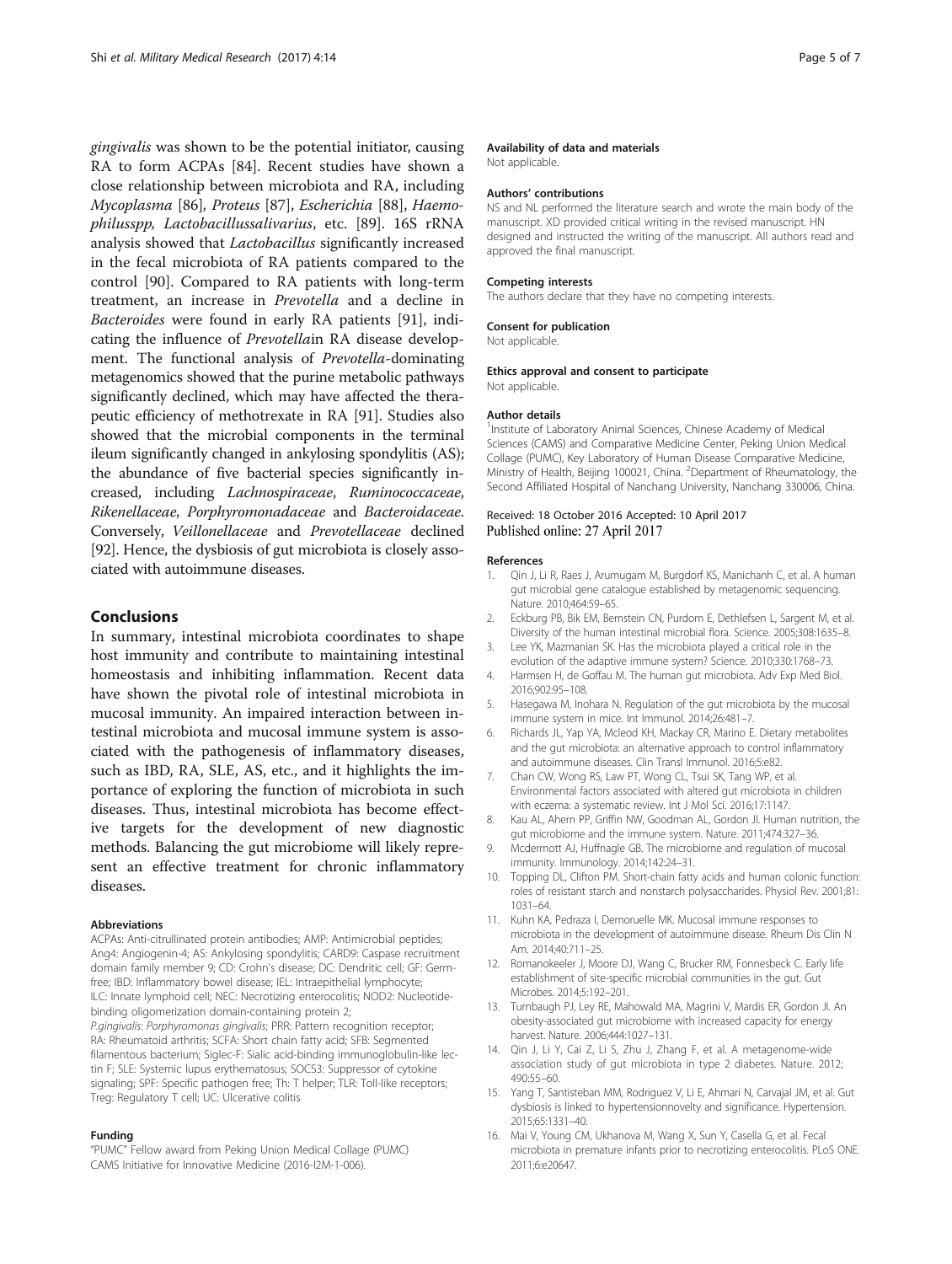<span id="page-4-0"></span>gingivalis was shown to be the potential initiator, causing RA to form ACPAs [\[84\]](#page-6-0). Recent studies have shown a close relationship between microbiota and RA, including Mycoplasma [\[86](#page-6-0)], Proteus [[87\]](#page-6-0), Escherichia [[88\]](#page-6-0), Haemophilusspp, Lactobacillussalivarius, etc. [[89\]](#page-6-0). 16S rRNA analysis showed that Lactobacillus significantly increased in the fecal microbiota of RA patients compared to the control [[90\]](#page-6-0). Compared to RA patients with long-term treatment, an increase in Prevotella and a decline in Bacteroides were found in early RA patients [[91\]](#page-6-0), indicating the influence of Prevotellain RA disease development. The functional analysis of Prevotella-dominating metagenomics showed that the purine metabolic pathways significantly declined, which may have affected the therapeutic efficiency of methotrexate in RA [\[91](#page-6-0)]. Studies also showed that the microbial components in the terminal ileum significantly changed in ankylosing spondylitis (AS); the abundance of five bacterial species significantly increased, including Lachnospiraceae, Ruminococcaceae, Rikenellaceae, Porphyromonadaceae and Bacteroidaceae. Conversely, Veillonellaceae and Prevotellaceae declined [[92](#page-6-0)]. Hence, the dysbiosis of gut microbiota is closely associated with autoimmune diseases.

# Conclusions

In summary, intestinal microbiota coordinates to shape host immunity and contribute to maintaining intestinal homeostasis and inhibiting inflammation. Recent data have shown the pivotal role of intestinal microbiota in mucosal immunity. An impaired interaction between intestinal microbiota and mucosal immune system is associated with the pathogenesis of inflammatory diseases, such as IBD, RA, SLE, AS, etc., and it highlights the importance of exploring the function of microbiota in such diseases. Thus, intestinal microbiota has become effective targets for the development of new diagnostic methods. Balancing the gut microbiome will likely represent an effective treatment for chronic inflammatory diseases.

#### **Abbreviations**

ACPAs: Anti-citrullinated protein antibodies; AMP: Antimicrobial peptides; Ang4: Angiogenin-4; AS: Ankylosing spondylitis; CARD9: Caspase recruitment domain family member 9; CD: Crohn's disease; DC: Dendritic cell; GF: Germfree; IBD: Inflammatory bowel disease; IEL: Intraepithelial lymphocyte; ILC: Innate lymphoid cell; NEC: Necrotizing enterocolitis; NOD2: Nucleotidebinding oligomerization domain-containing protein 2; P.gingivalis: Porphyromonas gingivalis; PRR: Pattern recognition receptor; RA: Rheumatoid arthritis; SCFA: Short chain fatty acid; SFB: Segmented filamentous bacterium; Siglec-F: Sialic acid-binding immunoglobulin-like lectin F; SLE: Systemic lupus erythematosus; SOCS3: Suppressor of cytokine signaling; SPF: Specific pathogen free; Th: T helper; TLR: Toll-like receptors; Treg: Regulatory T cell; UC: Ulcerative colitis

#### Funding

"PUMC" Fellow award from Peking Union Medical Collage (PUMC) CAMS Initiative for Innovative Medicine (2016-I2M-1-006).

#### Availability of data and materials

Not applicable.

#### Authors' contributions

NS and NL performed the literature search and wrote the main body of the manuscript. XD provided critical writing in the revised manuscript. HN designed and instructed the writing of the manuscript. All authors read and approved the final manuscript.

### Competing interests

The authors declare that they have no competing interests.

#### Consent for publication

Not applicable.

#### Ethics approval and consent to participate Not applicable.

#### Author details

<sup>1</sup>Institute of Laboratory Animal Sciences, Chinese Academy of Medical Sciences (CAMS) and Comparative Medicine Center, Peking Union Medical Collage (PUMC), Key Laboratory of Human Disease Comparative Medicine, Ministry of Health, Beijing 100021, China. <sup>2</sup>Department of Rheumatology, the Second Affiliated Hospital of Nanchang University, Nanchang 330006, China.

### Received: 18 October 2016 Accepted: 10 April 2017 Published online: 27 April 2017

### References

- 1. Qin J, Li R, Raes J, Arumugam M, Burgdorf KS, Manichanh C, et al. A human gut microbial gene catalogue established by metagenomic sequencing. Nature. 2010;464:59–65.
- 2. Eckburg PB, Bik EM, Bernstein CN, Purdom E, Dethlefsen L, Sargent M, et al. Diversity of the human intestinal microbial flora. Science. 2005;308:1635–8.
- 3. Lee YK, Mazmanian SK. Has the microbiota played a critical role in the evolution of the adaptive immune system? Science. 2010;330:1768–73.
- 4. Harmsen H, de Goffau M. The human gut microbiota. Adv Exp Med Biol. 2016;902:95–108.
- 5. Hasegawa M, Inohara N. Regulation of the gut microbiota by the mucosal immune system in mice. Int Immunol. 2014;26:481–7.
- 6. Richards JL, Yap YA, Mcleod KH, Mackay CR, Marino E. Dietary metabolites and the gut microbiota: an alternative approach to control inflammatory and autoimmune diseases. Clin Transl Immunol. 2016;5:e82.
- 7. Chan CW, Wong RS, Law PT, Wong CL, Tsui SK, Tang WP, et al. Environmental factors associated with altered gut microbiota in children with eczema: a systematic review. Int J Mol Sci. 2016;17:1147.
- 8. Kau AL, Ahern PP, Griffin NW, Goodman AL, Gordon JI. Human nutrition, the gut microbiome and the immune system. Nature. 2011;474:327–36.
- 9. Mcdermott AJ, Huffnagle GB. The microbiome and regulation of mucosal immunity. Immunology. 2014;142:24–31.
- 10. Topping DL, Clifton PM. Short-chain fatty acids and human colonic function: roles of resistant starch and nonstarch polysaccharides. Physiol Rev. 2001;81: 1031–64.
- 11. Kuhn KA, Pedraza I, Demoruelle MK. Mucosal immune responses to microbiota in the development of autoimmune disease. Rheum Dis Clin N Am. 2014;40:711–25.
- 12. Romanokeeler J, Moore DJ, Wang C, Brucker RM, Fonnesbeck C. Early life establishment of site-specific microbial communities in the gut. Gut Microbes. 2014;5:192–201.
- 13. Turnbaugh PJ, Ley RE, Mahowald MA, Magrini V, Mardis ER, Gordon JI. An obesity-associated gut microbiome with increased capacity for energy harvest. Nature. 2006;444:1027–131.
- 14. Qin J, Li Y, Cai Z, Li S, Zhu J, Zhang F, et al. A metagenome-wide association study of gut microbiota in type 2 diabetes. Nature. 2012; 490:55–60.
- 15. Yang T, Santisteban MM, Rodriguez V, Li E, Ahmari N, Carvajal JM, et al. Gut dysbiosis is linked to hypertensionnovelty and significance. Hypertension. 2015;65:1331–40.
- 16. Mai V, Young CM, Ukhanova M, Wang X, Sun Y, Casella G, et al. Fecal microbiota in premature infants prior to necrotizing enterocolitis. PLoS ONE. 2011;6:e20647.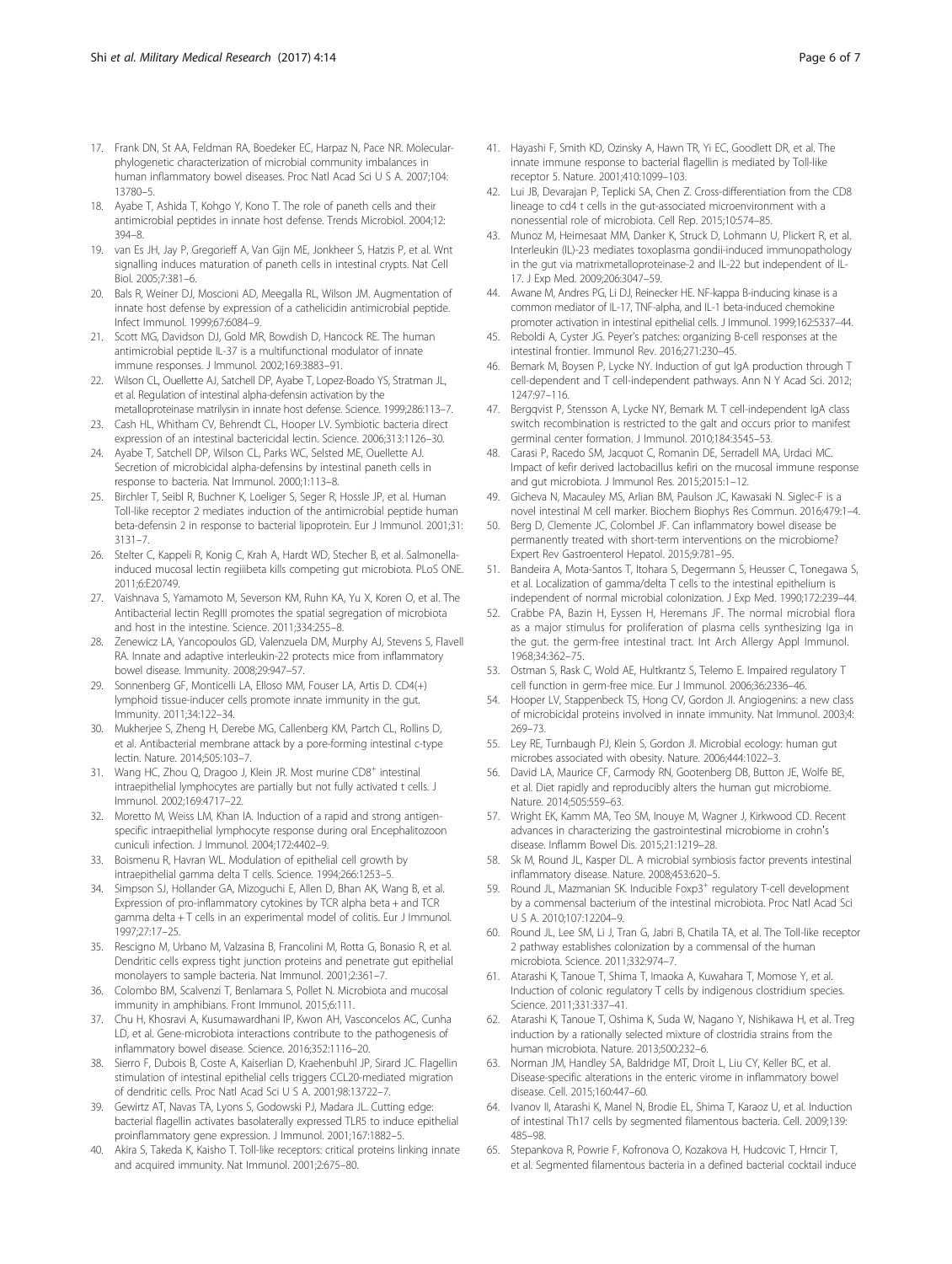- <span id="page-5-0"></span>17. Frank DN, St AA, Feldman RA, Boedeker EC, Harpaz N, Pace NR. Molecularphylogenetic characterization of microbial community imbalances in human inflammatory bowel diseases. Proc Natl Acad Sci U S A. 2007;104: 13780–5.
- 18. Ayabe T, Ashida T, Kohgo Y, Kono T. The role of paneth cells and their antimicrobial peptides in innate host defense. Trends Microbiol. 2004;12: 394–8.
- 19. van Es JH, Jay P, Gregorieff A, Van Gijn ME, Jonkheer S, Hatzis P, et al. Wnt signalling induces maturation of paneth cells in intestinal crypts. Nat Cell Biol. 2005;7:381–6.
- 20. Bals R, Weiner DJ, Moscioni AD, Meegalla RL, Wilson JM. Augmentation of innate host defense by expression of a cathelicidin antimicrobial peptide. Infect Immunol. 1999;67:6084–9.
- 21. Scott MG, Davidson DJ, Gold MR, Bowdish D, Hancock RE. The human antimicrobial peptide IL-37 is a multifunctional modulator of innate immune responses. J Immunol. 2002;169:3883–91.
- 22. Wilson CL, Ouellette AJ, Satchell DP, Ayabe T, Lopez-Boado YS, Stratman JL, et al. Regulation of intestinal alpha-defensin activation by the metalloproteinase matrilysin in innate host defense. Science. 1999;286:113–7.
- 23. Cash HL, Whitham CV, Behrendt CL, Hooper LV. Symbiotic bacteria direct expression of an intestinal bactericidal lectin. Science. 2006;313:1126–30.
- 24. Ayabe T, Satchell DP, Wilson CL, Parks WC, Selsted ME, Ouellette AJ. Secretion of microbicidal alpha-defensins by intestinal paneth cells in response to bacteria. Nat Immunol. 2000;1:113–8.
- 25. Birchler T, Seibl R, Buchner K, Loeliger S, Seger R, Hossle JP, et al. Human Toll-like receptor 2 mediates induction of the antimicrobial peptide human beta-defensin 2 in response to bacterial lipoprotein. Eur J Immunol. 2001;31: 3131–7.
- 26. Stelter C, Kappeli R, Konig C, Krah A, Hardt WD, Stecher B, et al. Salmonellainduced mucosal lectin regiiibeta kills competing gut microbiota. PLoS ONE. 2011;6:E20749.
- 27. Vaishnava S, Yamamoto M, Severson KM, Ruhn KA, Yu X, Koren O, et al. The Antibacterial lectin RegIII promotes the spatial segregation of microbiota and host in the intestine. Science. 2011;334:255–8.
- 28. Zenewicz LA, Yancopoulos GD, Valenzuela DM, Murphy AJ, Stevens S, Flavell RA. Innate and adaptive interleukin-22 protects mice from inflammatory bowel disease. Immunity. 2008;29:947–57.
- 29. Sonnenberg GF, Monticelli LA, Elloso MM, Fouser LA, Artis D. CD4(+) lymphoid tissue-inducer cells promote innate immunity in the gut. Immunity. 2011;34:122–34.
- 30. Mukherjee S, Zheng H, Derebe MG, Callenberg KM, Partch CL, Rollins D, et al. Antibacterial membrane attack by a pore-forming intestinal c-type lectin. Nature. 2014;505:103–7.
- 31. Wang HC, Zhou Q, Dragoo J, Klein JR. Most murine CD8<sup>+</sup> intestinal intraepithelial lymphocytes are partially but not fully activated t cells. J Immunol. 2002;169:4717–22.
- 32. Moretto M, Weiss LM, Khan IA. Induction of a rapid and strong antigenspecific intraepithelial lymphocyte response during oral Encephalitozoon cuniculi infection. J Immunol. 2004;172:4402–9.
- 33. Boismenu R, Havran WL. Modulation of epithelial cell growth by intraepithelial gamma delta T cells. Science. 1994;266:1253–5.
- 34. Simpson SJ, Hollander GA, Mizoguchi E, Allen D, Bhan AK, Wang B, et al. Expression of pro-inflammatory cytokines by TCR alpha beta + and TCR gamma delta + T cells in an experimental model of colitis. Eur J Immunol. 1997;27:17–25.
- 35. Rescigno M, Urbano M, Valzasina B, Francolini M, Rotta G, Bonasio R, et al. Dendritic cells express tight junction proteins and penetrate gut epithelial monolayers to sample bacteria. Nat Immunol. 2001;2:361–7.
- 36. Colombo BM, Scalvenzi T, Benlamara S, Pollet N. Microbiota and mucosal immunity in amphibians. Front Immunol. 2015;6:111.
- 37. Chu H, Khosravi A, Kusumawardhani IP, Kwon AH, Vasconcelos AC, Cunha LD, et al. Gene-microbiota interactions contribute to the pathogenesis of inflammatory bowel disease. Science. 2016;352:1116–20.
- 38. Sierro F, Dubois B, Coste A, Kaiserlian D, Kraehenbuhl JP, Sirard JC. Flagellin stimulation of intestinal epithelial cells triggers CCL20-mediated migration of dendritic cells. Proc Natl Acad Sci U S A. 2001;98:13722–7.
- 39. Gewirtz AT, Navas TA, Lyons S, Godowski PJ, Madara JL. Cutting edge: bacterial flagellin activates basolaterally expressed TLR5 to induce epithelial proinflammatory gene expression. J Immunol. 2001;167:1882–5.
- 40. Akira S, Takeda K, Kaisho T. Toll-like receptors: critical proteins linking innate and acquired immunity. Nat Immunol. 2001;2:675–80.
- 41. Hayashi F, Smith KD, Ozinsky A, Hawn TR, Yi EC, Goodlett DR, et al. The innate immune response to bacterial flagellin is mediated by Toll-like receptor 5. Nature. 2001;410:1099–103.
- 42. Lui JB, Devarajan P, Teplicki SA, Chen Z. Cross-differentiation from the CD8 lineage to cd4 t cells in the gut-associated microenvironment with a nonessential role of microbiota. Cell Rep. 2015;10:574–85.
- 43. Munoz M, Heimesaat MM, Danker K, Struck D, Lohmann U, Plickert R, et al. Interleukin (IL)-23 mediates toxoplasma gondii-induced immunopathology in the gut via matrixmetalloproteinase-2 and IL-22 but independent of IL-17. J Exp Med. 2009;206:3047–59.
- 44. Awane M, Andres PG, Li DJ, Reinecker HE. NF-kappa B-inducing kinase is a common mediator of IL-17, TNF-alpha, and IL-1 beta-induced chemokine promoter activation in intestinal epithelial cells. J Immunol. 1999;162:5337–44.
- 45. Reboldi A, Cyster JG. Peyer's patches: organizing B-cell responses at the intestinal frontier. Immunol Rev. 2016;271:230–45.
- Bemark M, Boysen P, Lycke NY. Induction of gut IgA production through T cell-dependent and T cell-independent pathways. Ann N Y Acad Sci. 2012; 1247:97–116.
- 47. Bergqvist P, Stensson A, Lycke NY, Bemark M. T cell-independent IgA class switch recombination is restricted to the galt and occurs prior to manifest germinal center formation. J Immunol. 2010;184:3545–53.
- 48. Carasi P, Racedo SM, Jacquot C, Romanin DE, Serradell MA, Urdaci MC. Impact of kefir derived lactobacillus kefiri on the mucosal immune response and gut microbiota. J Immunol Res. 2015;2015:1–12.
- 49. Gicheva N, Macauley MS, Arlian BM, Paulson JC, Kawasaki N. Siglec-F is a novel intestinal M cell marker. Biochem Biophys Res Commun. 2016;479:1–4.
- 50. Berg D, Clemente JC, Colombel JF. Can inflammatory bowel disease be permanently treated with short-term interventions on the microbiome? Expert Rev Gastroenterol Hepatol. 2015;9:781–95.
- 51. Bandeira A, Mota-Santos T, Itohara S, Degermann S, Heusser C, Tonegawa S, et al. Localization of gamma/delta T cells to the intestinal epithelium is independent of normal microbial colonization. J Exp Med. 1990;172:239–44.
- 52. Crabbe PA, Bazin H, Eyssen H, Heremans JF. The normal microbial flora as a major stimulus for proliferation of plasma cells synthesizing Iga in the gut. the germ-free intestinal tract. Int Arch Allergy Appl Immunol. 1968;34:362–75.
- 53. Ostman S, Rask C, Wold AE, Hultkrantz S, Telemo E. Impaired regulatory T cell function in germ-free mice. Eur J Immunol. 2006;36:2336–46.
- 54. Hooper LV, Stappenbeck TS, Hong CV, Gordon JI. Angiogenins: a new class of microbicidal proteins involved in innate immunity. Nat Immunol. 2003;4: 269–73.
- 55. Ley RE, Turnbaugh PJ, Klein S, Gordon JI. Microbial ecology: human gut microbes associated with obesity. Nature. 2006;444:1022–3.
- 56. David LA, Maurice CF, Carmody RN, Gootenberg DB, Button JE, Wolfe BE, et al. Diet rapidly and reproducibly alters the human gut microbiome. Nature. 2014;505:559–63.
- 57. Wright EK, Kamm MA, Teo SM, Inouye M, Wagner J, Kirkwood CD. Recent advances in characterizing the gastrointestinal microbiome in crohn's disease. Inflamm Bowel Dis. 2015;21:1219–28.
- 58. Sk M, Round JL, Kasper DL. A microbial symbiosis factor prevents intestinal inflammatory disease. Nature. 2008;453:620–5.
- 59. Round JL, Mazmanian SK. Inducible Foxp3<sup>+</sup> regulatory T-cell development by a commensal bacterium of the intestinal microbiota. Proc Natl Acad Sci U S A. 2010;107:12204–9.
- 60. Round JL, Lee SM, Li J, Tran G, Jabri B, Chatila TA, et al. The Toll-like receptor 2 pathway establishes colonization by a commensal of the human microbiota. Science. 2011;332:974–7.
- 61. Atarashi K, Tanoue T, Shima T, Imaoka A, Kuwahara T, Momose Y, et al. Induction of colonic regulatory T cells by indigenous clostridium species. Science. 2011;331:337–41.
- 62. Atarashi K, Tanoue T, Oshima K, Suda W, Nagano Y, Nishikawa H, et al. Treg induction by a rationally selected mixture of clostridia strains from the human microbiota. Nature. 2013;500:232–6.
- 63. Norman JM, Handley SA, Baldridge MT, Droit L, Liu CY, Keller BC, et al. Disease-specific alterations in the enteric virome in inflammatory bowel disease. Cell. 2015;160:447–60.
- 64. Ivanov II, Atarashi K, Manel N, Brodie EL, Shima T, Karaoz U, et al. Induction of intestinal Th17 cells by segmented filamentous bacteria. Cell. 2009;139: 485–98.
- 65. Stepankova R, Powrie F, Kofronova O, Kozakova H, Hudcovic T, Hrncir T, et al. Segmented filamentous bacteria in a defined bacterial cocktail induce